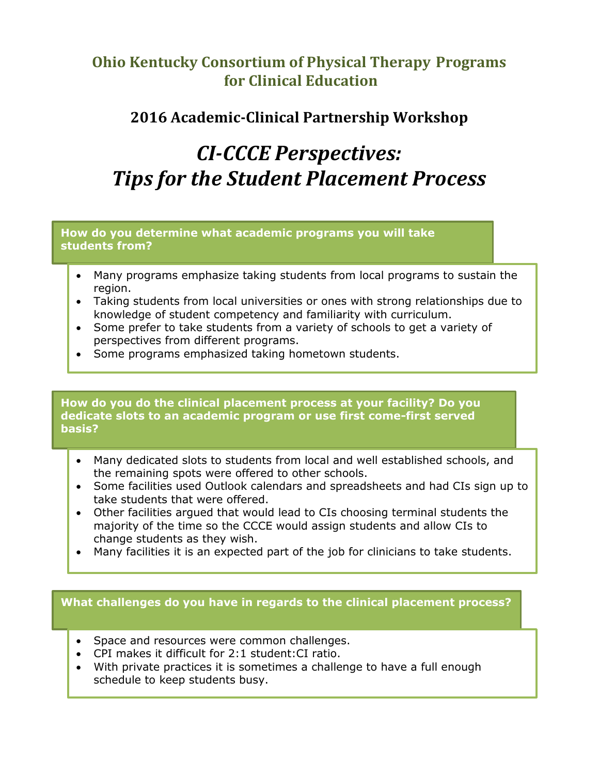## **Ohio Kentucky Consortium of Physical Therapy Programs for Clinical Education**

## **2016 Academic-Clinical Partnership Workshop**

# *CI-CCCE Perspectives: Tips for the Student Placement Process*

**How do you determine what academic programs you will take students from?**

- Many programs emphasize taking students from local programs to sustain the region.
- Taking students from local universities or ones with strong relationships due to knowledge of student competency and familiarity with curriculum.
- Some prefer to take students from a variety of schools to get a variety of perspectives from different programs.
- Some programs emphasized taking hometown students.

**How do you do the clinical placement process at your facility? Do you dedicate slots to an academic program or use first come-first served basis?** 

- Many dedicated slots to students from local and well established schools, and the remaining spots were offered to other schools.
- Some facilities used Outlook calendars and spreadsheets and had CIs sign up to take students that were offered.
- Other facilities argued that would lead to CIs choosing terminal students the majority of the time so the CCCE would assign students and allow CIs to change students as they wish.
- Many facilities it is an expected part of the job for clinicians to take students.

### **What challenges do you have in regards to the clinical placement process?**

- Space and resources were common challenges.
- CPI makes it difficult for 2:1 student:CI ratio.
- With private practices it is sometimes a challenge to have a full enough schedule to keep students busy.